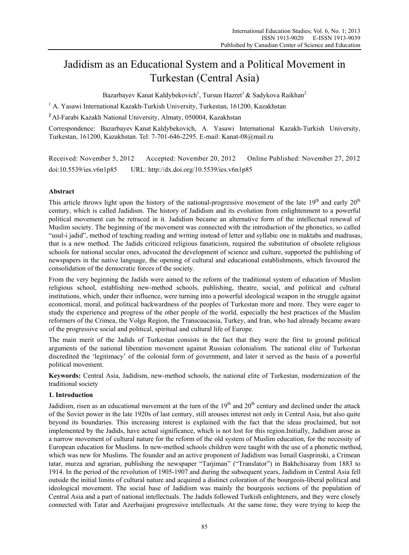# Jadidism as an Educational System and a Political Movement in Turkestan (Central Asia)

Bazarbayev Kanat Kaldybekovich<sup>1</sup>, Tursun Hazret<sup>1</sup> & Sadykova Raikhan<sup>2</sup>

<sup>1</sup> A. Yasawi International Kazakh-Turkish University, Turkestan, 161200, Kazakhstan

**<sup>2</sup>**Al-Farabi Kazakh National University, Almaty, 050004, Kazakhstan

Correspondence: Bazarbayev Kanat Kaldybekovich, A. Yasawi International Kazakh-Turkish University, Turkestan, 161200, Kazakhstan. Tel: 7-701-646-2295. E-mail: Kanat-08@mail.ru

Received: November 5, 2012 Accepted: November 20, 2012 Online Published: November 27, 2012 doi:10.5539/ies.v6n1p85 URL: http://dx.doi.org/10.5539/ies.v6n1p85

# **Abstract**

This article throws light upon the history of the national-progressive movement of the late  $19<sup>th</sup>$  and early  $20<sup>th</sup>$ century, which is called Jadidism. The history of Jadidism and its evolution from enlightenment to a powerful political movement can be retraced in it. Jadidism became an alternative form of the intellectual renewal of Muslim society. The beginning of the movement was connected with the introduction of the phonetics, so called "usul-i jadid", method of teaching reading and writing instead of letter and syllabic one in maktabs and madrasas, that is a new method. The Jadids criticized religious fanaticism, required the substitution of obsolete religious schools for national secular ones, advocated the development of science and culture, supported the publishing of newspapers in the native language, the opening of cultural and educational establishments, which favoured the consolidation of the democratic forces of the society.

From the very beginning the Jadids were aimed to the reform of the traditional system of education of Muslim religious school, establishing new-method schools, publishing, theatre, social, and political and cultural institutions, which, under their influence, were turning into a powerful ideological weapon in the struggle against economical, moral, and political backwardness of the peoples of Turkestan more and more. They were eager to study the experience and progress of the other people of the world, especially the best practices of the Muslim reformers of the Crimea, the Volga Region, the Transcaucasia, Turkey, and Iran, who had already became aware of the progressive social and political, spiritual and cultural life of Europe.

The main merit of the Jadids of Turkestan consists in the fact that they were the first to ground political arguments of the national liberation movement against Russian colonialism. The national elite of Turkestan discredited the 'legitimacy' of the colonial form of government, and later it served as the basis of a powerful political movement.

**Keywords:** Central Asia, Jadidism, new-method schools, the national elite of Turkestan, modernization of the traditional society

# **1. Introduction**

Jadidism, risen as an educational movement at the turn of the  $19<sup>th</sup>$  and  $20<sup>th</sup>$  century and declined under the attack of the Soviet power in the late 1920s of last century, still arouses interest not only in Central Asia, but also quite beyond its boundaries. This increasing interest is explained with the fact that the ideas proclaimed, but not implemented by the Jadids, have actual significance, which is not lost for this region.Initially, Jadidism arose as a narrow movement of cultural nature for the reform of the old system of Muslim education, for the necessity of European education for Muslims. In new-method schools children were taught with the use of a phonetic method, which was new for Muslims. The founder and an active proponent of Jadidism was Ismail Gasprinski, a Crimean tatar, murza and agrarian, publishing the newspaper "Tarjiman" ("Translator") in Bakhchisaray from 1883 to 1914. In the period of the revolution of 1905-1907 and during the subsequent years, Jadidism in Central Asia fell outside the initial limits of cultural nature and acquired a distinct coloration of the bourgeois-liberal political and ideological movement. The social base of Jadidism was mainly the bourgeois sections of the population of Central Asia and a part of national intellectuals. The Jadids followed Turkish enlighteners, and they were closely connected with Tatar and Azerbaijani progressive intellectuals. At the same time, they were trying to keep the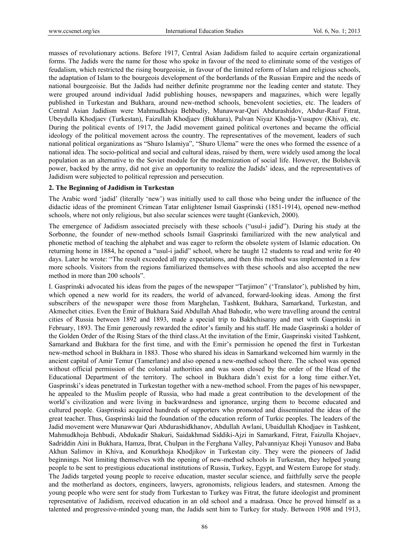masses of revolutionary actions. Before 1917, Central Asian Jadidism failed to acquire certain organizational forms. The Jadids were the name for those who spoke in favour of the need to eliminate some of the vestiges of feudalism, which restricted the rising bourgeoisie, in favour of the limited reform of Islam and religious schools, the adaptation of Islam to the bourgeois development of the borderlands of the Russian Empire and the needs of national bourgeoisie. But the Jadids had neither definite programme nor the leading center and statute. They were grouped around individual Jadid publishing houses, newspapers and magazines, which were legally published in Turkestan and Bukhara, around new-method schools, benevolent societies, etc. The leaders of Central Asian Jadidism were Mahmudkhoja Behbudiy, Munawwar-Qari Abdurashidov, Abdur-Rauf Fitrat, Ubeydulla Khodjaev (Turkestan), Faizullah Khodjaev (Bukhara), Palvan Niyaz Khodja-Yusupov (Khiva), etc. During the political events of 1917, the Jadid movement gained political overtones and became the official ideology of the political movement across the country. The representatives of the movement, leaders of such national political organizations as "Shuro Islamiya", "Shuro Ulema" were the ones who formed the essence of a national idea. The socio-political and social and cultural ideas, raised by them, were widely used among the local population as an alternative to the Soviet module for the modernization of social life. However, the Bolshevik power, backed by the army, did not give an opportunity to realize the Jadids' ideas, and the representatives of Jadidism were subjected to political repression and persecution.

## **2. The Beginning of Jadidism in Turkestan**

The Arabic word 'jadid' (literally 'new') was initially used to call those who being under the influence of the didactic ideas of the prominent Crimean Tatar enlightener Ismail Gasprinski (1851-1914), opened new-method schools, where not only religious, but also secular sciences were taught (Gankevich, 2000).

The emergence of Jadidism associated precisely with these schools ("usul-i jadid"). During his study at the Sorbonne, the founder of new-method schools Ismail Gasprinski familiarized with the new analytical and phonetic method of teaching the alphabet and was eager to reform the obsolete system of Islamic education. On returning home in 1884, he opened a "usul-i jadid" school, where he taught 12 students to read and write for 40 days. Later he wrote: "The result exceeded all my expectations, and then this method was implemented in a few more schools. Visitors from the regions familiarized themselves with these schools and also accepted the new method in more than 200 schools".

I. Gasprinski advocated his ideas from the pages of the newspaper "Tarjimon" ('Translator'), published by him, which opened a new world for its readers, the world of advanced, forward-looking ideas. Among the first subscribers of the newspaper were those from Marghelan, Tashkent, Bukhara, Samarkand, Turkestan, and Akmechet cities. Even the Emir of Bukhara Said Abdullah Ahad Bahodir, who were travelling around the central cities of Russia between 1892 and 1893, made a special trip to Bakhchisaray and met with Gasprinski in February, 1893. The Emir generously rewarded the editor's family and his staff. He made Gasprinski a holder of the Golden Order of the Rising Stars of the third class.At the invitation of the Emir, Gasprinski visited Tashkent, Samarkand and Bukhara for the first time, and with the Emir's permission he opened the first in Turkestan new-method school in Bukhara in 1883. Those who shared his ideas in Samarkand welcomed him warmly in the ancient capital of Amir Temur (Tamerlane) and also opened a new-method school there. The school was opened without official permission of the colonial authorities and was soon closed by the order of the Head of the Educational Department of the territory. The school in Bukhara didn't exist for a long time either.Yet, Gasprinski's ideas penetrated in Turkestan together with a new-method school. From the pages of his newspaper, he appealed to the Muslim people of Russia, who had made a great contribution to the development of the world's civilization and were living in backwardness and ignorance, urging them to become educated and cultured people. Gasprinski acquired hundreds of supporters who promoted and disseminated the ideas of the great teacher. Thus, Gasprinski laid the foundation of the education reform of Turkic peoples. The leaders of the Jadid movement were Munawwar Qari Abdurashidkhanov, Abdullah Awlani, Ubaidullah Khodjaev in Tashkent, Mahmudkhoja Behbudi, Abdukadir Shakuri, Saidakhmad Siddiki-Ajzi in Samarkand, Fitrat, Faizulla Khojaev, Sadriddin Aini in Bukhara, Hamza, Ibrat, Chulpan in the Ferghana Valley, Palvanniyaz Khoji Yunusov and Baba Akhun Salimov in Khiva, and Konurkhoja Khodjikov in Turkestan city. They were the pioneers of Jadid beginnings. Not limiting themselves with the opening of new-method schools in Turkestan, they helped young people to be sent to prestigious educational institutions of Russia, Turkey, Egypt, and Western Europe for study. The Jadids targeted young people to receive education, master secular science, and faithfully serve the people and the motherland as doctors, engineers, lawyers, agronomists, religious leaders, and statesmen. Among the young people who were sent for study from Turkestan to Turkey was Fitrat, the future ideologist and prominent representative of Jadidism, received education in an old school and a madrasa. Once he proved himself as a talented and progressive-minded young man, the Jadids sent him to Turkey for study. Between 1908 and 1913,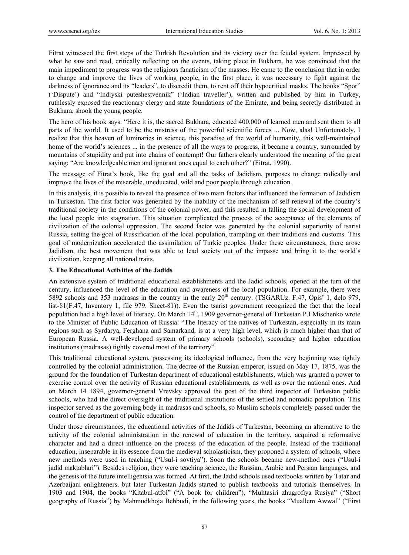Fitrat witnessed the first steps of the Turkish Revolution and its victory over the feudal system. Impressed by what he saw and read, critically reflecting on the events, taking place in Bukhara, he was convinced that the main impediment to progress was the religious fanaticism of the masses. He came to the conclusion that in order to change and improve the lives of working people, in the first place, it was necessary to fight against the darkness of ignorance and its "leaders", to discredit them, to rent off their hypocritical masks. The books "Spor" ('Dispute') and "Indiyski puteshestvennik" ('Indian traveller'), written and published by him in Turkey, ruthlessly exposed the reactionary clergy and state foundations of the Emirate, and being secretly distributed in Bukhara, shook the young people.

The hero of his book says: "Here it is, the sacred Bukhara, educated 400,000 of learned men and sent them to all parts of the world. It used to be the mistress of the powerful scientific forces ... Now, alas! Unfortunately, I realize that this heaven of luminaries in science, this paradise of the world of humanity, this well-maintained home of the world's sciences ... in the presence of all the ways to progress, it became a country, surrounded by mountains of stupidity and put into chains of contempt! Our fathers clearly understood the meaning of the great saying: "Are knowledgeable men and ignorant ones equal to each other?" (Fitrat, 1990).

The message of Fitrat's book, like the goal and all the tasks of Jadidism, purposes to change radically and improve the lives of the miserable, uneducated, wild and poor people through education.

In this analysis, it is possible to reveal the presence of two main factors that influenced the formation of Jadidism in Turkestan. The first factor was generated by the inability of the mechanism of self-renewal of the country's traditional society in the conditions of the colonial power, and this resulted in falling the social development of the local people into stagnation. This situation complicated the process of the acceptance of the elements of civilization of the colonial oppression. The second factor was generated by the colonial superiority of tsarist Russia, setting the goal of Russification of the local population, trampling on their traditions and customs. This goal of modernization accelerated the assimilation of Turkic peoples. Under these circumstances, there arose Jadidism, the best movement that was able to lead society out of the impasse and bring it to the world's civilization, keeping all national traits.

# **3. The Educational Activities of the Jadids**

An extensive system of traditional educational establishments and the Jadid schools, opened at the turn of the century, influenced the level of the education and awareness of the local population. For example, there were 5892 schools and 353 madrasas in the country in the early  $20<sup>th</sup>$  century. (TSGARUz. F.47, Opis' 1, delo 979, list-81(F.47, Inventory 1, file 979. Sheet-81)). Even the tsarist government recognized the fact that the local population had a high level of literacy. On March 14<sup>th</sup>, 1909 governor-general of Turkestan P.I Mischenko wrote to the Minister of Public Education of Russia: "The literacy of the natives of Turkestan, especially in its main regions such as Syrdarya, Ferghana and Samarkand, is at a very high level, which is much higher than that of European Russia. A well-developed system of primary schools (schools), secondary and higher education institutions (madrasas) tightly covered most of the territory".

This traditional educational system, possessing its ideological influence, from the very beginning was tightly controlled by the colonial administration. The decree of the Russian emperor, issued on May 17, 1875, was the ground for the foundation of Turkestan department of educational establishments, which was granted a power to exercise control over the activity of Russian educational establishments, as well as over the national ones. And on March 14 1894, governor-general Vrevsky approved the post of the third inspector of Turkestan public schools, who had the direct oversight of the traditional institutions of the settled and nomadic population. This inspector served as the governing body in madrasas and schools, so Muslim schools completely passed under the control of the department of public education.

Under those circumstances, the educational activities of the Jadids of Turkestan, becoming an alternative to the activity of the colonial administration in the renewal of education in the territory, acquired a reformative character and had a direct influence on the process of the education of the people. Instead of the traditional education, inseparable in its essence from the medieval scholasticism, they proponed a system of schools, where new methods were used in teaching ("Usul-i sovtiya"). Soon the schools became new-method ones ("Usul-i jadid maktablari"). Besides religion, they were teaching science, the Russian, Arabic and Persian languages, and the genesis of the future intelligentsia was formed. At first, the Jadid schools used textbooks written by Tatar and Azerbaijani enlighteners, but later Turkestan Jadids started to publish textbooks and tutorials themselves. In 1903 and 1904, the books "Kitabul-atfol" ("A book for children"), "Muhtasiri zhugrofiya Rusiya" ("Short geography of Russia") by Mahmudkhoja Behbudi, in the following years, the books "Muallem Awwal" ("First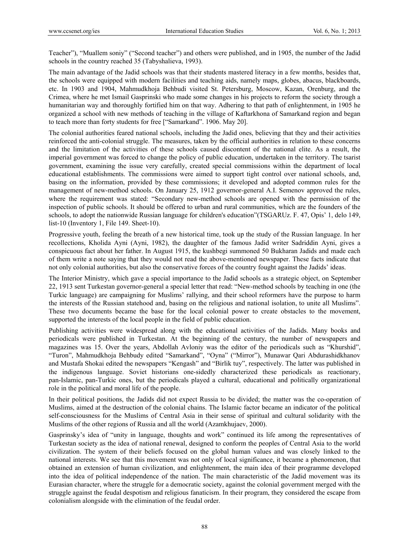Teacher"), "Muallem soniy" ("Second teacher") and others were published, and in 1905, the number of the Jadid schools in the country reached 35 (Tabyshalieva, 1993).

The main advantage of the Jadid schools was that their students mastered literacy in a few months, besides that, the schools were equipped with modern facilities and teaching aids, namely maps, globes, abacus, blackboards, etc. In 1903 and 1904, Mahmudkhoja Behbudi visited St. Petersburg, Moscow, Kazan, Orenburg, and the Crimea, where he met Ismail Gasprinski who made some changes in his projects to reform the society through a humanitarian way and thoroughly fortified him on that way. Adhering to that path of enlightenment, in 1905 he organized a school with new methods of teaching in the village of Kaftarkhona of Samarkand region and began to teach more than forty students for free ["Samarkand". 1906. May 20].

The colonial authorities feared national schools, including the Jadid ones, believing that they and their activities reinforced the anti-colonial struggle. The measures, taken by the official authorities in relation to these concerns and the limitation of the activities of these schools caused discontent of the national elite. As a result, the imperial government was forced to change the policy of public education, undertaken in the territory. The tsarist government, examining the issue very carefully, created special commissions within the department of local educational establishments. The commissions were aimed to support tight control over national schools, and, basing on the information, provided by these commissions; it developed and adopted common rules for the management of new-method schools. On January 25, 1912 governor-general A.I. Semenov approved the rules, where the requirement was stated: "Secondary new-method schools are opened with the permission of the inspection of public schools. It should be offered to urban and rural communities, which are the founders of the schools, to adopt the nationwide Russian language for children's education"(TSGARUz. F. 47, Opis' 1, delo 149, list-10 (Inventory 1, File 149. Sheet-10).

Progressive youth, feeling the breath of a new historical time, took up the study of the Russian language. In her recollections, Kholida Ayni (Ayni, 1982), the daughter of the famous Jadid writer Sadriddin Ayni, gives a conspicuous fact about her father. In August 1915, the kushbegi summoned 50 Bukharan Jadids and made each of them write a note saying that they would not read the above-mentioned newspaper. These facts indicate that not only colonial authorities, but also the conservative forces of the country fought against the Jadids' ideas.

The Interior Ministry, which gave a special importance to the Jadid schools as a strategic object, on September 22, 1913 sent Turkestan governor-general a special letter that read: "New-method schools by teaching in one (the Turkic language) are campaigning for Muslims' rallying, and their school reformers have the purpose to harm the interests of the Russian statehood and, basing on the religious and national isolation, to unite all Muslims". These two documents became the base for the local colonial power to create obstacles to the movement, supported the interests of the local people in the field of public education.

Publishing activities were widespread along with the educational activities of the Jadids. Many books and periodicals were published in Turkestan. At the beginning of the century, the number of newspapers and magazines was 15. Over the years, Abdollah Avloniy was the editor of the periodicals such as "Khurshid", "Turon", Mahmudkhoja Behbudу edited "Samarkand", "Oyna" ("Mirror"), Munawar Qari Abdurashidkhanov and Mustafa Shokai edited the newspapers "Kengash" and "Birlik tuy", respectively. The latter was published in the indigenous language. Soviet historians one-sidedly characterized these periodicals as reactionary, pan-Islamic, pan-Turkic ones, but the periodicals played a cultural, educational and politically organizational role in the political and moral life of the people.

In their political positions, the Jadids did not expect Russia to be divided; the matter was the co-operation of Muslims, aimed at the destruction of the colonial chains. The Islamic factor became an indicator of the political self-consciousness for the Muslims of Central Asia in their sense of spiritual and cultural solidarity with the Muslims of the other regions of Russia and all the world (Azamkhujaev, 2000).

Gasprinsky's idea of "unity in language, thoughts and work" continued its life among the representatives of Turkestan society as the idea of national renewal, designed to conform the peoples of Central Asia to the world civilization. The system of their beliefs focused on the global human values and was closely linked to the national interests. We see that this movement was not only of local significance, it became a phenomenon, that obtained an extension of human civilization, and enlightenment, the main idea of their programme developed into the idea of political independence of the nation. The main characteristic of the Jadid movement was its Eurasian character, where the struggle for a democratic society, against the colonial government merged with the struggle against the feudal despotism and religious fanaticism. In their program, they considered the escape from colonialism alongside with the elimination of the feudal order.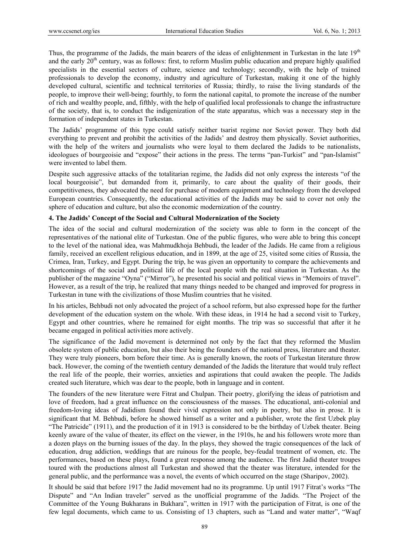Thus, the programme of the Jadids, the main bearers of the ideas of enlightenment in Turkestan in the late 19<sup>th</sup> and the early  $20<sup>th</sup>$  century, was as follows: first, to reform Muslim public education and prepare highly qualified specialists in the essential sectors of culture, science and technology; secondly, with the help of trained professionals to develop the economy, industry and agriculture of Turkestan, making it one of the highly developed cultural, scientific and technical territories of Russia; thirdly, to raise the living standards of the people, to improve their well-being; fourthly, to form the national capital, to promote the increase of the number of rich and wealthy people, and, fifthly, with the help of qualified local professionals to change the infrastructure of the society, that is, to conduct the indigenization of the state apparatus, which was a necessary step in the formation of independent states in Turkestan.

The Jadids' programme of this type could satisfy neither tsarist regime nor Soviet power. They both did everything to prevent and prohibit the activities of the Jadids' and destroy them physically. Soviet authorities, with the help of the writers and journalists who were loyal to them declared the Jadids to be nationalists, ideologues of bourgeoisie and "expose" their actions in the press. The terms "pan-Turkist" and "pan-Islamist" were invented to label them.

Despite such aggressive attacks of the totalitarian regime, the Jadids did not only express the interests "of the local bourgeoisie", but demanded from it, primarily, to care about the quality of their goods, their competitiveness, they advocated the need for purchase of modern equipment and technology from the developed European countries. Consequently, the educational activities of the Jadids may be said to cover not only the sphere of education and culture, but also the economic modernization of the country.

## **4. The Jadids' Concept of the Social and Cultural Modernization of the Society**

The idea of the social and cultural modernization of the society was able to form in the concept of the representatives of the national elite of Turkestan. One of the public figures, who were able to bring this concept to the level of the national idea, was Mahmudkhoja Behbudi, the leader of the Jadids. He came from a religious family, received an excellent religious education, and in 1899, at the age of 25, visited some cities of Russia, the Crimea, Iran, Turkey, and Egypt. During the trip, he was given an opportunity to compare the achievements and shortcomings of the social and political life of the local people with the real situation in Turkestan. As the publisher of the magazine "Oyna" ("Mirror"), he presented his social and political views in "Memoirs of travel". However, as a result of the trip, he realized that many things needed to be changed and improved for progress in Turkestan in tune with the civilizations of those Muslim countries that he visited.

In his articles, Behbudi not only advocated the project of a school reform, but also expressed hope for the further development of the education system on the whole. With these ideas, in 1914 he had a second visit to Turkey, Egypt and other countries, where he remained for eight months. The trip was so successful that after it he became engaged in political activities more actively.

The significance of the Jadid movement is determined not only by the fact that they reformed the Muslim obsolete system of public education, but also their being the founders of the national press, literature and theater. They were truly pioneers, born before their time. As is generally known, the roots of Turkestan literature throw back. However, the coming of the twentieth century demanded of the Jadids the literature that would truly reflect the real life of the people, their worries, anxieties and aspirations that could awaken the people. The Jadids created such literature, which was dear to the people, both in language and in content.

The founders of the new literature were Fitrat and Chulpan. Their poetry, glorifying the ideas of patriotism and love of freedom, had a great influence on the consciousness of the masses. The educational, anti-colonial and freedom-loving ideas of Jadidism found their vivid expression not only in poetry, but also in prose. It is significant that M. Behbudi, before he showed himself as a writer and a publisher, wrote the first Uzbek play "The Patricide" (1911), and the production of it in 1913 is considered to be the birthday of Uzbek theater. Being keenly aware of the value of theater, its effect on the viewer, in the 1910s, he and his followers wrote more than a dozen plays on the burning issues of the day. In the plays, they showed the tragic consequences of the lack of education, drug addiction, weddings that are ruinous for the people, bey-feudal treatment of women, etc. The performances, based on these plays, found a great response among the audience. The first Jadid theater troupes toured with the productions almost all Turkestan and showed that the theater was literature, intended for the general public, and the performance was a novel, the events of which occurred on the stage (Sharipov, 2002).

It should be said that before 1917 the Jadid movement had no its programme. Up until 1917 Fitrat's works "The Dispute" and "An Indian traveler" served as the unofficial programme of the Jadids. "The Project of the Committee of the Young Bukharans in Bukhara", written in 1917 with the participation of Fitrat, is one of the few legal documents, which came to us. Consisting of 13 chapters, such as "Land and water matter", "Waqf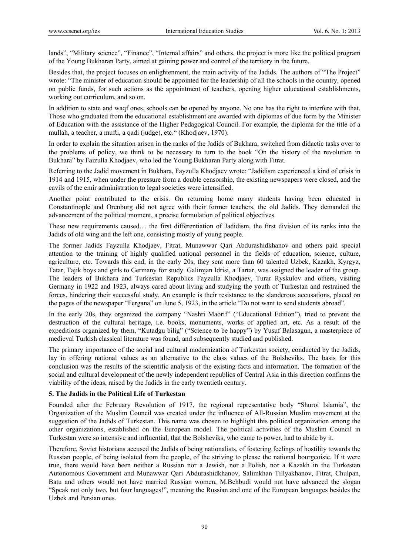lands", "Military science", "Finance", "Internal affairs" and others, the project is more like the political program of the Young Bukharan Party, aimed at gaining power and control of the territory in the future.

Besides that, the project focuses on enlightenment, the main activity of the Jadids. The authors of "The Project" wrote: "The minister of education should be appointed for the leadership of all the schools in the country, opened on public funds, for such actions as the appointment of teachers, opening higher educational establishments, working out curriculum, and so on.

In addition to state and waqf ones, schools can be opened by anyone. No one has the right to interfere with that. Those who graduated from the educational establishment are awarded with diplomas of due form by the Minister of Education with the assistance of the Higher Pedagogical Council. For example, the diploma for the title of a mullah, a teacher, a mufti, a qadi (judge), etc." (Khodjaev, 1970).

In order to explain the situation arisen in the ranks of the Jadids of Bukhara, switched from didactic tasks over to the problems of policy, we think to be necessary to turn to the book "On the history of the revolution in Bukhara" by Faizulla Khodjaev, who led the Young Bukharan Party along with Fitrat.

Referring to the Jadid movement in Bukhara, Fayzulla Khodjaev wrote: "Jadidism experienced a kind of crisis in 1914 and 1915, when under the pressure from a double censorship, the existing newspapers were closed, and the cavils of the emir administration to legal societies were intensified.

Another point contributed to the crisis. On returning home many students having been educated in Constantinople and Orenburg did not agree with their former teachers, the old Jadids. They demanded the advancement of the political moment, a precise formulation of political objectives.

These new requirements caused… the first differentiation of Jadidism, the first division of its ranks into the Jadids of old wing and the left one, consisting mostly of young people.

The former Jadids Fayzulla Khodjaev, Fitrat, Munawwar Qari Abdurashidkhanov and others paid special attention to the training of highly qualified national personnel in the fields of education, science, culture, agriculture, etc. Towards this end, in the early 20s, they sent more than 60 talented Uzbek, Kazakh, Kyrgyz, Tatar, Tajik boys and girls to Germany for study. Galimjan Idrisi, a Tartar, was assigned the leader of the group. The leaders of Bukhara and Turkestan Republics Fayzulla Khodjaev, Turar Ryskulov and others, visiting Germany in 1922 and 1923, always cared about living and studying the youth of Turkestan and restrained the forces, hindering their successful study. An example is their resistance to the slanderous accusations, placed on the pages of the newspaper "Fergana" on June 5, 1923, in the article "Do not want to send students abroad".

In the early 20s, they organized the company "Nashri Maorif" ("Educational Edition"), tried to prevent the destruction of the cultural heritage, i.e. books, monuments, works of applied art, etc. As a result of the expeditions organized by them, "Kutadgu bilig" ("Science to be happy") by Yusuf Balasagun, a masterpiece of medieval Turkish classical literature was found, and subsequently studied and published.

The primary importance of the social and cultural modernization of Turkestan society, conducted by the Jadids, lay in offering national values as an alternative to the class values of the Bolsheviks. The basis for this conclusion was the results of the scientific analysis of the existing facts and information. The formation of the social and cultural development of the newly independent republics of Central Asia in this direction confirms the viability of the ideas, raised by the Jadids in the early twentieth century.

# **5. The Jadids in the Political Life of Turkestan**

Founded after the February Revolution of 1917, the regional representative body "Shuroi Islamia", the Organization of the Muslim Council was created under the influence of All-Russian Muslim movement at the suggestion of the Jadids of Turkestan. This name was chosen to highlight this political organization among the other organizations, established on the European model. The political activities of the Muslim Council in Turkestan were so intensive and influential, that the Bolsheviks, who came to power, had to abide by it.

Therefore, Soviet historians accused the Jadids of being nationalists, of fostering feelings of hostility towards the Russian people, of being isolated from the people, of the striving to please the national bourgeoisie. If it were true, there would have been neither a Russian nor a Jewish, nor a Polish, nor a Kazakh in the Turkestan Autonomous Government and Munawwar Qari Abdurashidkhanov, Salimkhan Tillyakhanov, Fitrat, Chulpan, Batu and others would not have married Russian women, M.Behbudi would not have advanced the slogan "Speak not only two, but four languages!", meaning the Russian and one of the European languages besides the Uzbek and Persian ones.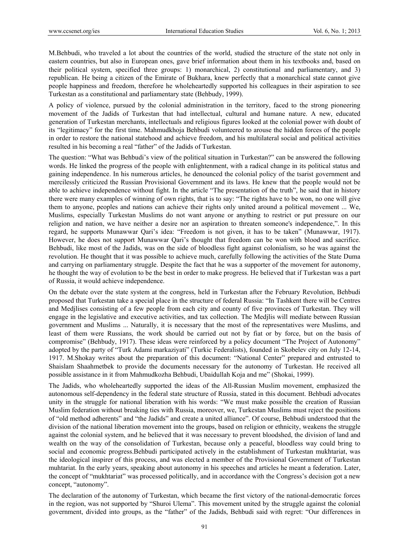M.Behbudi, who traveled a lot about the countries of the world, studied the structure of the state not only in eastern countries, but also in European ones, gave brief information about them in his textbooks and, based on their political system, specified three groups: 1) monarchical, 2) constitutional and parliamentary, and 3) republican. He being a citizen of the Emirate of Bukhara, knew perfectly that a monarchical state cannot give people happiness and freedom, therefore he wholeheartedly supported his colleagues in their aspiration to see Turkestan as a constitutional and parliamentary state (Behbudy, 1999).

A policy of violence, pursued by the colonial administration in the territory, faced to the strong pioneering movement of the Jadids of Turkestan that had intellectual, cultural and humane nature. A new, educated generation of Turkestan merchants, intellectuals and religious figures looked at the colonial power with doubt of its "legitimacy" for the first time. Mahmudkhoja Behbudi volunteered to arouse the hidden forces of the people in order to restore the national statehood and achieve freedom, and his multilateral social and political activities resulted in his becoming a real "father" of the Jadids of Turkestan.

The question: "What was Behbudi's view of the political situation in Turkestan?" can be answered the following words. He linked the progress of the people with enlightenment, with a radical change in its political status and gaining independence. In his numerous articles, he denounced the colonial policy of the tsarist government and mercilessly criticized the Russian Provisional Government and its laws. He knew that the people would not be able to achieve independence without fight. In the article "The presentation of the truth", he said that in history there were many examples of winning of own rights, that is to say: "The rights have to be won, no one will give them to anyone, peoples and nations can achieve their rights only united around a political movement ... We, Muslims, especially Turkestan Muslims do not want anyone or anything to restrict or put pressure on our religion and nation, we have neither a desire nor an aspiration to threaten someone's independence,". In this regard, he supports Munawwar Qari's idea: "Freedom is not given, it has to be taken" (Munawwar, 1917). However, he does not support Munawwar Qari's thought that freedom can be won with blood and sacrifice. Behbudi, like most of the Jadids, was on the side of bloodless fight against colonialism, so he was against the revolution. He thought that it was possible to achieve much, carefully following the activities of the State Duma and carrying on parliamentary struggle. Despite the fact that he was a supporter of the movement for autonomy, he thought the way of evolution to be the best in order to make progress. He believed that if Turkestan was a part of Russia, it would achieve independence.

On the debate over the state system at the congress, held in Turkestan after the February Revolution, Behbudi proposed that Turkestan take a special place in the structure of federal Russia: "In Tashkent there will be Centres and Medjlises consisting of a few people from each city and county of five provinces of Turkestan. They will engage in the legislative and executive activities, and tax collection. The Medjlis will mediate between Russian government and Muslims ... Naturally, it is necessary that the most of the representatives were Muslims, and least of them were Russians, the work should be carried out not by fiat or by force, but on the basis of compromise" (Behbudy, 1917). These ideas were reinforced by a policy document "The Project of Autonomy" adopted by the party of "Turk Adami markaziyati" (Turkic Federalists), founded in Skobelev city on July 12-14, 1917. M.Shokay writes about the preparation of this document: "National Center" prepared and entrusted to Shaislam Shaahmetbek to provide the documents necessary for the autonomy of Turkestan. He received all possible assistance in it from Mahmudkozha Behbudi, Ubaidullah Koja and me" (Shokai, 1999).

The Jadids, who wholeheartedly supported the ideas of the All-Russian Muslim movement, emphasized the autonomous self-dependency in the federal state structure of Russia, stated in this document. Behbudi advocates unity in the struggle for national liberation with his words: "We must make possible the creation of Russian Muslim federation without breaking ties with Russia, moreover, we, Turkestan Muslims must reject the positions of "old method adherents" and "the Jadids" and create a united alliance". Of course, Behbudi understood that the division of the national liberation movement into the groups, based on religion or ethnicity, weakens the struggle against the colonial system, and he believed that it was necessary to prevent bloodshed, the division of land and wealth on the way of the consolidation of Turkestan, because only a peaceful, bloodless way could bring to social and economic progress.Behbudi participated actively in the establishment of Turkestan mukhtariat, was the ideological inspirer of this process, and was elected a member of the Provisional Government of Turkestan muhtariat. In the early years, speaking about autonomy in his speeches and articles he meant a federation. Later, the concept of "mukhtariat" was processed politically, and in accordance with the Congress's decision got a new concept, "autonomy".

The declaration of the autonomy of Turkestan, which became the first victory of the national-democratic forces in the region, was not supported by "Shuroi Ulema". This movement united by the struggle against the colonial government, divided into groups, as the "father" of the Jadids, Behbudi said with regret: "Our differences in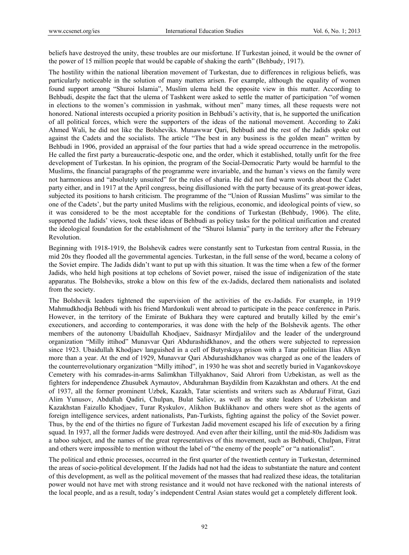beliefs have destroyed the unity, these troubles are our misfortune. If Turkestan joined, it would be the owner of the power of 15 million people that would be capable of shaking the earth" (Behbudy, 1917).

The hostility within the national liberation movement of Turkestan, due to differences in religious beliefs, was particularly noticeable in the solution of many matters arisen. For example, although the equality of women found support among "Shuroi Islamia", Muslim ulema held the opposite view in this matter. According to Behbudi, despite the fact that the ulema of Tashkent were asked to settle the matter of participation "of women in elections to the women's commission in yashmak, without men" many times, all these requests were not honored. National interests occupied a priority position in Behbudi's activity, that is, he supported the unification of all political forces, which were the supporters of the ideas of the national movement. According to Zaki Ahmed Wali, he did not like the Bolsheviks. Munawwar Qari, Behbudi and the rest of the Jadids spoke out against the Cadets and the socialists. The article "The best in any business is the golden mean" written by Behbudi in 1906, provided an appraisal of the four parties that had a wide spread occurrence in the metropolis. He called the first party a bureaucratic-despotic one, and the order, which it established, totally unfit for the free development of Turkestan. In his opinion, the program of the Social-Democratic Party would be harmful to the Muslims, the financial paragraphs of the programme were invariable, and the human's views on the family were not harmonious and "absolutely unsuited" for the rules of sharia. He did not find warm words about the Cadet party either, and in 1917 at the April congress, being disillusioned with the party because of its great-power ideas, subjected its positions to harsh criticism. The programme of the "Union of Russian Muslims" was similar to the one of the Cadets', but the party united Muslims with the religious, economic, and ideological points of view, so it was considered to be the most acceptable for the conditions of Turkestan (Behbudy, 1906). The elite, supported the Jadids' views, took these ideas of Behbudi as policy tasks for the political unification and created the ideological foundation for the establishment of the "Shuroi Islamia" party in the territory after the February Revolution.

Beginning with 1918-1919, the Bolshevik cadres were constantly sent to Turkestan from central Russia, in the mid 20s they flooded all the governmental agencies. Turkestan, in the full sense of the word, became a colony of the Soviet empire. The Jadids didn't want to put up with this situation. It was the time when a few of the former Jadids, who held high positions at top echelons of Soviet power, raised the issue of indigenization of the state apparatus. The Bolsheviks, stroke a blow on this few of the ex-Jadids, declared them nationalists and isolated from the society.

The Bolshevik leaders tightened the supervision of the activities of the ex-Jadids. For example, in 1919 Mahmudkhodja Behbudi with his friend Mardonkuli went abroad to participate in the peace conference in Paris. However, in the territory of the Emirate of Bukhara they were captured and brutally killed by the emir's executioners, and according to contemporaries, it was done with the help of the Bolshevik agents. The other members of the autonomy Ubaidullah Khodjaev, Saidnasyr Mirdjalilov and the leader of the underground organization "Milly ittihod" Munavvar Qari Abdurashidkhanov, and the others were subjected to repression since 1923. Ubaidullah Khodjaev languished in a cell of Butyrskaya prison with a Tatar politician Ilias Alkyn more than a year. At the end of 1929, Munavvar Qari Abdurashidkhanov was charged as one of the leaders of the counterrevolutionary organization "Milly ittihod", in 1930 he was shot and secretly buried in Vagankovskoye Cemetery with his comrades-in-arms Salimkhan Tillyakhanov, Said Ahrori from Uzbekistan, as well as the fighters for independence Zhusubek Aymautov, Abdurahman Baydildin from Kazakhstan and others. At the end of 1937, all the former prominent Uzbek, Kazakh, Tatar scientists and writers such as Abdurauf Fitrat, Gazi Alim Yunusov, Abdullah Qadiri, Chulpan, Bulat Saliev, as well as the state leaders of Uzbekistan and Kazakhstan Faizullo Khodjaev, Turar Ryskulov, Alikhon Buklikhanov and others were shot as the agents of foreign intelligence services, ardent nationalists, Pan-Turkists, fighting against the policy of the Soviet power. Thus, by the end of the thirties no figure of Turkestan Jadid movement escaped his life of execution by a firing squad. In 1937, all the former Jadids were destroyed. And even after their killing, until the mid-80s Jadidism was a taboo subject, and the names of the great representatives of this movement, such as Behbudi, Chulpan, Fitrat and others were impossible to mention without the label of "the enemy of the people" or "a nationalist".

The political and ethnic processes, occurred in the first quarter of the twentieth century in Turkestan, determined the areas of socio-political development. If the Jadids had not had the ideas to substantiate the nature and content of this development, as well as the political movement of the masses that had realized these ideas, the totalitarian power would not have met with strong resistance and it would not have reckoned with the national interests of the local people, and as a result, today's independent Central Asian states would get a completely different look.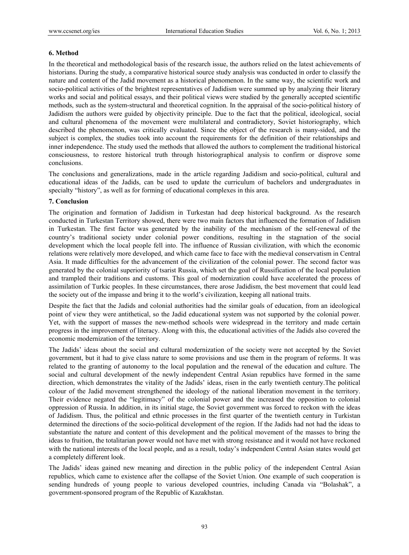## **6. Method**

In the theoretical and methodological basis of the research issue, the authors relied on the latest achievements of historians. During the study, a comparative historical source study analysis was conducted in order to classify the nature and content of the Jadid movement as a historical phenomenon. In the same way, the scientific work and socio-political activities of the brightest representatives of Jadidism were summed up by analyzing their literary works and social and political essays, and their political views were studied by the generally accepted scientific methods, such as the system-structural and theoretical cognition. In the appraisal of the socio-political history of Jadidism the authors were guided by objectivity principle. Due to the fact that the political, ideological, social and cultural phenomena of the movement were multilateral and contradictory, Soviet historiography, which described the phenomenon, was critically evaluated. Since the object of the research is many-sided, and the subject is complex, the studies took into account the requirements for the definition of their relationships and inner independence. The study used the methods that allowed the authors to complement the traditional historical consciousness, to restore historical truth through historiographical analysis to confirm or disprove some conclusions.

The conclusions and generalizations, made in the article regarding Jadidism and socio-political, cultural and educational ideas of the Jadids, can be used to update the curriculum of bachelors and undergraduates in specialty "history", as well as for forming of educational complexes in this area.

# **7. Conclusion**

The origination and formation of Jadidism in Turkestan had deep historical background. As the research conducted in Turkestan Territory showed, there were two main factors that influenced the formation of Jadidism in Turkestan. The first factor was generated by the inability of the mechanism of the self-renewal of the country's traditional society under colonial power conditions, resulting in the stagnation of the social development which the local people fell into. The influence of Russian civilization, with which the economic relations were relatively more developed, and which came face to face with the medieval conservatism in Central Asia. It made difficulties for the advancement of the civilization of the colonial power. The second factor was generated by the colonial superiority of tsarist Russia, which set the goal of Russification of the local population and trampled their traditions and customs. This goal of modernization could have accelerated the process of assimilation of Turkic peoples. In these circumstances, there arose Jadidism, the best movement that could lead the society out of the impasse and bring it to the world's civilization, keeping all national traits.

Despite the fact that the Jadids and colonial authorities had the similar goals of education, from an ideological point of view they were antithetical, so the Jadid educational system was not supported by the colonial power. Yet, with the support of masses the new-method schools were widespread in the territory and made certain progress in the improvement of literacy. Along with this, the educational activities of the Jadids also covered the economic modernization of the territory.

The Jadids' ideas about the social and cultural modernization of the society were not accepted by the Soviet government, but it had to give class nature to some provisions and use them in the program of reforms. It was related to the granting of autonomy to the local population and the renewal of the education and culture. The social and cultural development of the newly independent Central Asian republics have formed in the same direction, which demonstrates the vitality of the Jadids' ideas, risen in the early twentieth century.The political colour of the Jadid movement strengthened the ideology of the national liberation movement in the territory. Their evidence negated the "legitimacy" of the colonial power and the increased the opposition to colonial oppression of Russia. In addition, in its initial stage, the Soviet government was forced to reckon with the ideas of Jadidism. Thus, the political and ethnic processes in the first quarter of the twentieth century in Turkistan determined the directions of the socio-political development of the region. If the Jadids had not had the ideas to substantiate the nature and content of this development and the political movement of the masses to bring the ideas to fruition, the totalitarian power would not have met with strong resistance and it would not have reckoned with the national interests of the local people, and as a result, today's independent Central Asian states would get a completely different look.

The Jadids' ideas gained new meaning and direction in the public policy of the independent Central Asian republics, which came to existence after the collapse of the Soviet Union. One example of such cooperation is sending hundreds of young people to various developed countries, including Canada via "Bolashak", a government-sponsored program of the Republic of Kazakhstan.